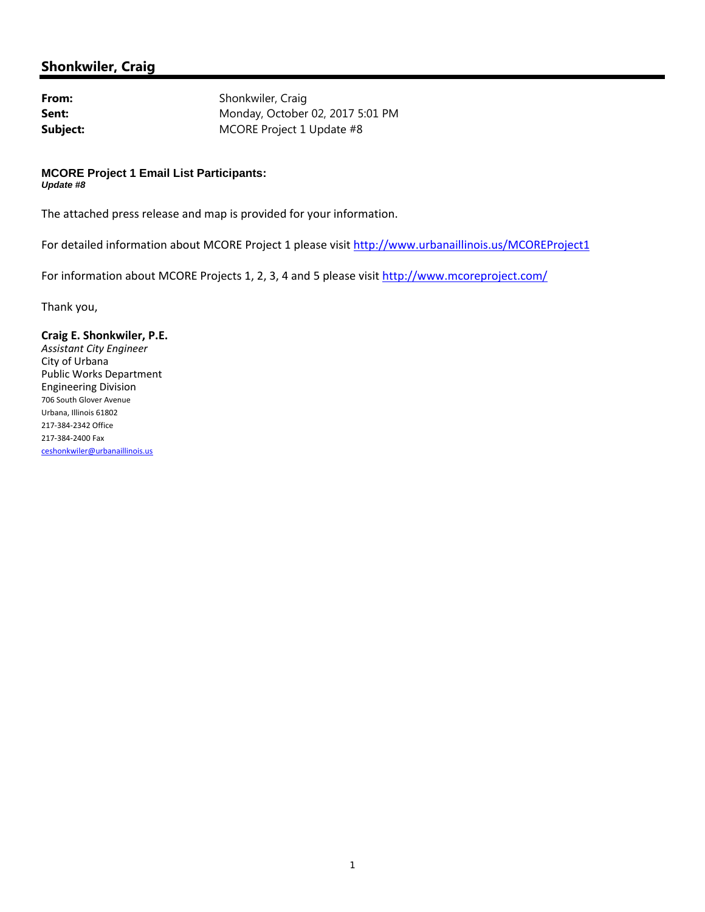## **Shonkwiler, Craig**

From: Shonkwiler, Craig **Sent:** Monday, October 02, 2017 5:01 PM **Subject:** MCORE Project 1 Update #8

## **MCORE Project 1 Email List Participants:**  *Update #8*

The attached press release and map is provided for your information.

For detailed information about MCORE Project 1 please visit http://www.urbanaillinois.us/MCOREProject1

For information about MCORE Projects 1, 2, 3, 4 and 5 please visit http://www.mcoreproject.com/

Thank you,

## **Craig E. Shonkwiler, P.E.**

*Assistant City Engineer* City of Urbana Public Works Department Engineering Division <sup>706</sup> South Glover Avenue Urbana, Illinois <sup>61802</sup> <sup>217</sup>‐384‐<sup>2342</sup> Office <sup>217</sup>‐384‐<sup>2400</sup> Fax ceshonkwiler@urbanaillinois.us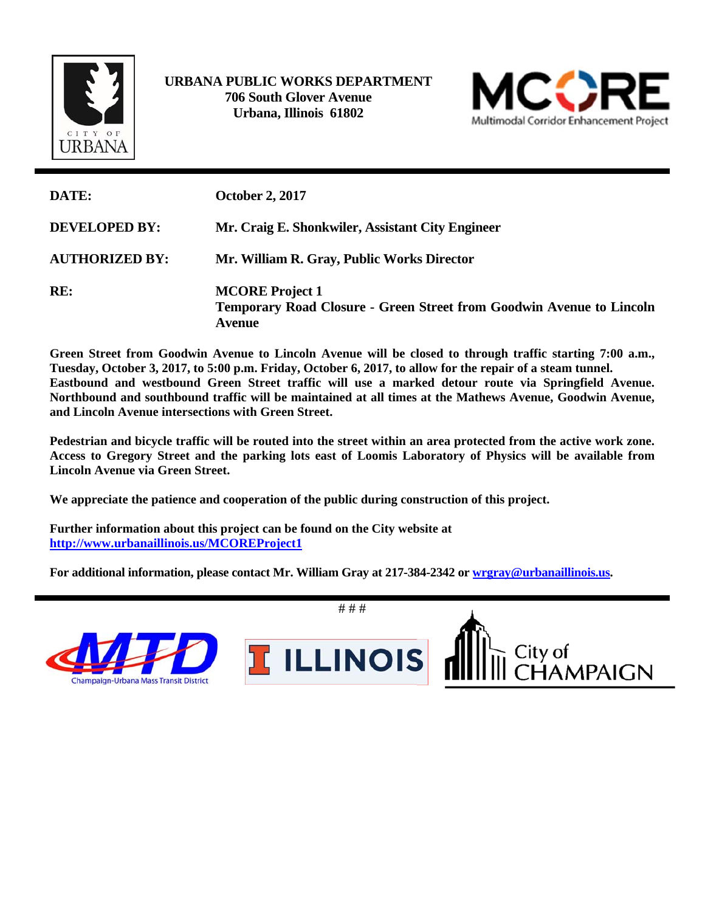

 **URBANA PUBLIC WORKS DEPARTMENT 706 South Glover Avenue Urbana, Illinois 61802** 



| DATE:                 | <b>October 2, 2017</b>                                                                                          |
|-----------------------|-----------------------------------------------------------------------------------------------------------------|
| <b>DEVELOPED BY:</b>  | Mr. Craig E. Shonkwiler, Assistant City Engineer                                                                |
| <b>AUTHORIZED BY:</b> | Mr. William R. Gray, Public Works Director                                                                      |
| RE:                   | <b>MCORE</b> Project 1<br><b>Temporary Road Closure - Green Street from Goodwin Avenue to Lincoln</b><br>Avenue |

**Green Street from Goodwin Avenue to Lincoln Avenue will be closed to through traffic starting 7:00 a.m., Tuesday, October 3, 2017, to 5:00 p.m. Friday, October 6, 2017, to allow for the repair of a steam tunnel. Eastbound and westbound Green Street traffic will use a marked detour route via Springfield Avenue. Northbound and southbound traffic will be maintained at all times at the Mathews Avenue, Goodwin Avenue, and Lincoln Avenue intersections with Green Street.** 

**Pedestrian and bicycle traffic will be routed into the street within an area protected from the active work zone. Access to Gregory Street and the parking lots east of Loomis Laboratory of Physics will be available from Lincoln Avenue via Green Street.** 

**We appreciate the patience and cooperation of the public during construction of this project.** 

**Further information about this project can be found on the City website at http://www.urbanaillinois.us/MCOREProject1** 

**For additional information, please contact Mr. William Gray at 217-384-2342 or wrgray@urbanaillinois.us.**